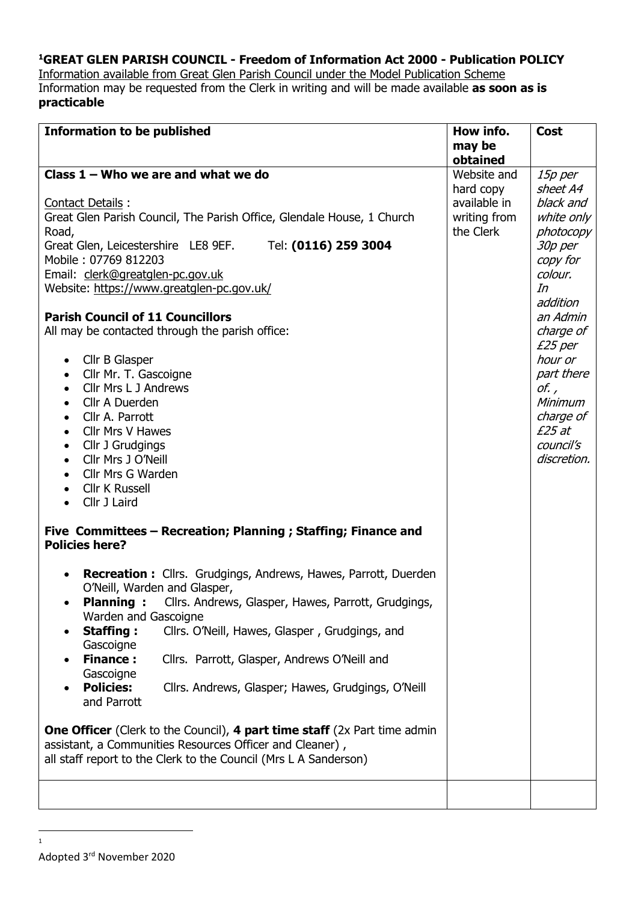## **<sup>1</sup>GREAT GLEN PARISH COUNCIL - Freedom of Information Act 2000 - Publication POLICY**

Information available from Great Glen Parish Council under the Model Publication Scheme Information may be requested from the Clerk in writing and will be made available **as soon as is practicable**

| obtained<br>Class $1 -$ Who we are and what we do<br>Website and<br>15p per<br>sheet A4<br>hard copy<br>available in<br>black and<br>Contact Details:<br>Great Glen Parish Council, The Parish Office, Glendale House, 1 Church<br>writing from<br>white only<br>the Clerk<br>Road,<br>photocopy<br>Great Glen, Leicestershire LE8 9EF.<br>Tel: (0116) 259 3004<br>30p per<br>Mobile: 07769 812203<br>copy for<br>colour.<br>Email: clerk@greatglen-pc.gov.uk<br>Website: https://www.greatglen-pc.gov.uk/<br>In<br>addition<br><b>Parish Council of 11 Councillors</b><br>an Admin<br>All may be contacted through the parish office:<br>charge of<br>£25 per<br>hour or<br>Cllr B Glasper<br>$\bullet$<br>Cllr Mr. T. Gascoigne<br>part there<br>$\bullet$<br>Cllr Mrs L J Andrews<br>of.,<br>$\bullet$<br>Cllr A Duerden<br>Minimum<br>$\bullet$<br>charge of<br>Cllr A. Parrott<br>$\bullet$<br>£25 at<br>Cllr Mrs V Hawes<br>$\bullet$<br>council's<br>Cllr J Grudgings<br>$\bullet$<br>Cllr Mrs J O'Neill<br>discretion.<br>$\bullet$<br>Cllr Mrs G Warden<br>$\bullet$<br><b>Cllr K Russell</b><br>$\bullet$<br>Cllr J Laird<br>$\bullet$<br>Five Committees - Recreation; Planning ; Staffing; Finance and<br><b>Policies here?</b><br>Recreation: Cllrs. Grudgings, Andrews, Hawes, Parrott, Duerden<br>$\bullet$<br>O'Neill, Warden and Glasper,<br>Planning: Cllrs. Andrews, Glasper, Hawes, Parrott, Grudgings,<br>Warden and Gascoigne<br><b>Staffing:</b><br>Cllrs. O'Neill, Hawes, Glasper, Grudgings, and<br>$\bullet$<br>Gascoigne<br><b>Finance:</b><br>Cllrs. Parrott, Glasper, Andrews O'Neill and<br>Gascoigne<br><b>Policies:</b><br>Cllrs. Andrews, Glasper; Hawes, Grudgings, O'Neill<br>and Parrott<br><b>One Officer</b> (Clerk to the Council), 4 part time staff (2x Part time admin | <b>Information to be published</b>                       | How info. | <b>Cost</b> |
|------------------------------------------------------------------------------------------------------------------------------------------------------------------------------------------------------------------------------------------------------------------------------------------------------------------------------------------------------------------------------------------------------------------------------------------------------------------------------------------------------------------------------------------------------------------------------------------------------------------------------------------------------------------------------------------------------------------------------------------------------------------------------------------------------------------------------------------------------------------------------------------------------------------------------------------------------------------------------------------------------------------------------------------------------------------------------------------------------------------------------------------------------------------------------------------------------------------------------------------------------------------------------------------------------------------------------------------------------------------------------------------------------------------------------------------------------------------------------------------------------------------------------------------------------------------------------------------------------------------------------------------------------------------------------------------------------------------------------------------------------------------------------------------------------------------|----------------------------------------------------------|-----------|-------------|
|                                                                                                                                                                                                                                                                                                                                                                                                                                                                                                                                                                                                                                                                                                                                                                                                                                                                                                                                                                                                                                                                                                                                                                                                                                                                                                                                                                                                                                                                                                                                                                                                                                                                                                                                                                                                                  |                                                          | may be    |             |
|                                                                                                                                                                                                                                                                                                                                                                                                                                                                                                                                                                                                                                                                                                                                                                                                                                                                                                                                                                                                                                                                                                                                                                                                                                                                                                                                                                                                                                                                                                                                                                                                                                                                                                                                                                                                                  |                                                          |           |             |
|                                                                                                                                                                                                                                                                                                                                                                                                                                                                                                                                                                                                                                                                                                                                                                                                                                                                                                                                                                                                                                                                                                                                                                                                                                                                                                                                                                                                                                                                                                                                                                                                                                                                                                                                                                                                                  |                                                          |           |             |
|                                                                                                                                                                                                                                                                                                                                                                                                                                                                                                                                                                                                                                                                                                                                                                                                                                                                                                                                                                                                                                                                                                                                                                                                                                                                                                                                                                                                                                                                                                                                                                                                                                                                                                                                                                                                                  |                                                          |           |             |
|                                                                                                                                                                                                                                                                                                                                                                                                                                                                                                                                                                                                                                                                                                                                                                                                                                                                                                                                                                                                                                                                                                                                                                                                                                                                                                                                                                                                                                                                                                                                                                                                                                                                                                                                                                                                                  |                                                          |           |             |
|                                                                                                                                                                                                                                                                                                                                                                                                                                                                                                                                                                                                                                                                                                                                                                                                                                                                                                                                                                                                                                                                                                                                                                                                                                                                                                                                                                                                                                                                                                                                                                                                                                                                                                                                                                                                                  |                                                          |           |             |
|                                                                                                                                                                                                                                                                                                                                                                                                                                                                                                                                                                                                                                                                                                                                                                                                                                                                                                                                                                                                                                                                                                                                                                                                                                                                                                                                                                                                                                                                                                                                                                                                                                                                                                                                                                                                                  |                                                          |           |             |
|                                                                                                                                                                                                                                                                                                                                                                                                                                                                                                                                                                                                                                                                                                                                                                                                                                                                                                                                                                                                                                                                                                                                                                                                                                                                                                                                                                                                                                                                                                                                                                                                                                                                                                                                                                                                                  |                                                          |           |             |
|                                                                                                                                                                                                                                                                                                                                                                                                                                                                                                                                                                                                                                                                                                                                                                                                                                                                                                                                                                                                                                                                                                                                                                                                                                                                                                                                                                                                                                                                                                                                                                                                                                                                                                                                                                                                                  |                                                          |           |             |
|                                                                                                                                                                                                                                                                                                                                                                                                                                                                                                                                                                                                                                                                                                                                                                                                                                                                                                                                                                                                                                                                                                                                                                                                                                                                                                                                                                                                                                                                                                                                                                                                                                                                                                                                                                                                                  |                                                          |           |             |
|                                                                                                                                                                                                                                                                                                                                                                                                                                                                                                                                                                                                                                                                                                                                                                                                                                                                                                                                                                                                                                                                                                                                                                                                                                                                                                                                                                                                                                                                                                                                                                                                                                                                                                                                                                                                                  |                                                          |           |             |
|                                                                                                                                                                                                                                                                                                                                                                                                                                                                                                                                                                                                                                                                                                                                                                                                                                                                                                                                                                                                                                                                                                                                                                                                                                                                                                                                                                                                                                                                                                                                                                                                                                                                                                                                                                                                                  |                                                          |           |             |
|                                                                                                                                                                                                                                                                                                                                                                                                                                                                                                                                                                                                                                                                                                                                                                                                                                                                                                                                                                                                                                                                                                                                                                                                                                                                                                                                                                                                                                                                                                                                                                                                                                                                                                                                                                                                                  |                                                          |           |             |
|                                                                                                                                                                                                                                                                                                                                                                                                                                                                                                                                                                                                                                                                                                                                                                                                                                                                                                                                                                                                                                                                                                                                                                                                                                                                                                                                                                                                                                                                                                                                                                                                                                                                                                                                                                                                                  |                                                          |           |             |
|                                                                                                                                                                                                                                                                                                                                                                                                                                                                                                                                                                                                                                                                                                                                                                                                                                                                                                                                                                                                                                                                                                                                                                                                                                                                                                                                                                                                                                                                                                                                                                                                                                                                                                                                                                                                                  |                                                          |           |             |
|                                                                                                                                                                                                                                                                                                                                                                                                                                                                                                                                                                                                                                                                                                                                                                                                                                                                                                                                                                                                                                                                                                                                                                                                                                                                                                                                                                                                                                                                                                                                                                                                                                                                                                                                                                                                                  |                                                          |           |             |
|                                                                                                                                                                                                                                                                                                                                                                                                                                                                                                                                                                                                                                                                                                                                                                                                                                                                                                                                                                                                                                                                                                                                                                                                                                                                                                                                                                                                                                                                                                                                                                                                                                                                                                                                                                                                                  |                                                          |           |             |
|                                                                                                                                                                                                                                                                                                                                                                                                                                                                                                                                                                                                                                                                                                                                                                                                                                                                                                                                                                                                                                                                                                                                                                                                                                                                                                                                                                                                                                                                                                                                                                                                                                                                                                                                                                                                                  |                                                          |           |             |
|                                                                                                                                                                                                                                                                                                                                                                                                                                                                                                                                                                                                                                                                                                                                                                                                                                                                                                                                                                                                                                                                                                                                                                                                                                                                                                                                                                                                                                                                                                                                                                                                                                                                                                                                                                                                                  |                                                          |           |             |
|                                                                                                                                                                                                                                                                                                                                                                                                                                                                                                                                                                                                                                                                                                                                                                                                                                                                                                                                                                                                                                                                                                                                                                                                                                                                                                                                                                                                                                                                                                                                                                                                                                                                                                                                                                                                                  |                                                          |           |             |
|                                                                                                                                                                                                                                                                                                                                                                                                                                                                                                                                                                                                                                                                                                                                                                                                                                                                                                                                                                                                                                                                                                                                                                                                                                                                                                                                                                                                                                                                                                                                                                                                                                                                                                                                                                                                                  |                                                          |           |             |
|                                                                                                                                                                                                                                                                                                                                                                                                                                                                                                                                                                                                                                                                                                                                                                                                                                                                                                                                                                                                                                                                                                                                                                                                                                                                                                                                                                                                                                                                                                                                                                                                                                                                                                                                                                                                                  |                                                          |           |             |
|                                                                                                                                                                                                                                                                                                                                                                                                                                                                                                                                                                                                                                                                                                                                                                                                                                                                                                                                                                                                                                                                                                                                                                                                                                                                                                                                                                                                                                                                                                                                                                                                                                                                                                                                                                                                                  |                                                          |           |             |
|                                                                                                                                                                                                                                                                                                                                                                                                                                                                                                                                                                                                                                                                                                                                                                                                                                                                                                                                                                                                                                                                                                                                                                                                                                                                                                                                                                                                                                                                                                                                                                                                                                                                                                                                                                                                                  |                                                          |           |             |
|                                                                                                                                                                                                                                                                                                                                                                                                                                                                                                                                                                                                                                                                                                                                                                                                                                                                                                                                                                                                                                                                                                                                                                                                                                                                                                                                                                                                                                                                                                                                                                                                                                                                                                                                                                                                                  |                                                          |           |             |
|                                                                                                                                                                                                                                                                                                                                                                                                                                                                                                                                                                                                                                                                                                                                                                                                                                                                                                                                                                                                                                                                                                                                                                                                                                                                                                                                                                                                                                                                                                                                                                                                                                                                                                                                                                                                                  |                                                          |           |             |
|                                                                                                                                                                                                                                                                                                                                                                                                                                                                                                                                                                                                                                                                                                                                                                                                                                                                                                                                                                                                                                                                                                                                                                                                                                                                                                                                                                                                                                                                                                                                                                                                                                                                                                                                                                                                                  |                                                          |           |             |
|                                                                                                                                                                                                                                                                                                                                                                                                                                                                                                                                                                                                                                                                                                                                                                                                                                                                                                                                                                                                                                                                                                                                                                                                                                                                                                                                                                                                                                                                                                                                                                                                                                                                                                                                                                                                                  |                                                          |           |             |
|                                                                                                                                                                                                                                                                                                                                                                                                                                                                                                                                                                                                                                                                                                                                                                                                                                                                                                                                                                                                                                                                                                                                                                                                                                                                                                                                                                                                                                                                                                                                                                                                                                                                                                                                                                                                                  |                                                          |           |             |
| all staff report to the Clerk to the Council (Mrs L A Sanderson)                                                                                                                                                                                                                                                                                                                                                                                                                                                                                                                                                                                                                                                                                                                                                                                                                                                                                                                                                                                                                                                                                                                                                                                                                                                                                                                                                                                                                                                                                                                                                                                                                                                                                                                                                 | assistant, a Communities Resources Officer and Cleaner), |           |             |
|                                                                                                                                                                                                                                                                                                                                                                                                                                                                                                                                                                                                                                                                                                                                                                                                                                                                                                                                                                                                                                                                                                                                                                                                                                                                                                                                                                                                                                                                                                                                                                                                                                                                                                                                                                                                                  |                                                          |           |             |
|                                                                                                                                                                                                                                                                                                                                                                                                                                                                                                                                                                                                                                                                                                                                                                                                                                                                                                                                                                                                                                                                                                                                                                                                                                                                                                                                                                                                                                                                                                                                                                                                                                                                                                                                                                                                                  |                                                          |           |             |

1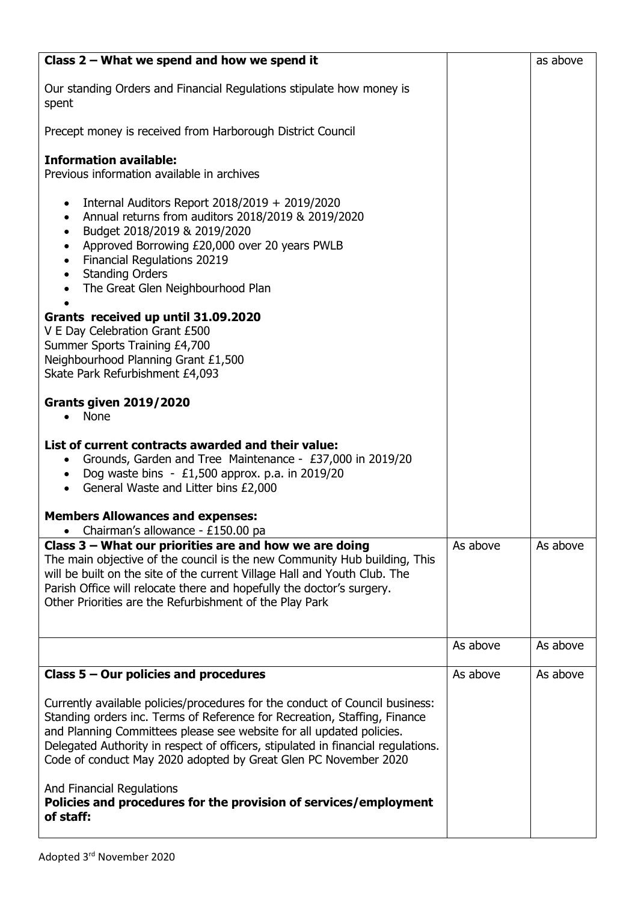| Class $2$ – What we spend and how we spend it                                                                                                                                                                                                                                                                                                                                            |          | as above |
|------------------------------------------------------------------------------------------------------------------------------------------------------------------------------------------------------------------------------------------------------------------------------------------------------------------------------------------------------------------------------------------|----------|----------|
| Our standing Orders and Financial Regulations stipulate how money is<br>spent                                                                                                                                                                                                                                                                                                            |          |          |
| Precept money is received from Harborough District Council                                                                                                                                                                                                                                                                                                                               |          |          |
| <b>Information available:</b><br>Previous information available in archives                                                                                                                                                                                                                                                                                                              |          |          |
| Internal Auditors Report $2018/2019 + 2019/2020$<br>$\bullet$<br>Annual returns from auditors 2018/2019 & 2019/2020<br>$\bullet$<br>Budget 2018/2019 & 2019/2020<br>٠<br>Approved Borrowing £20,000 over 20 years PWLB<br>Financial Regulations 20219<br>$\bullet$<br><b>Standing Orders</b><br>The Great Glen Neighbourhood Plan                                                        |          |          |
| Grants received up until 31.09.2020<br>V E Day Celebration Grant £500<br>Summer Sports Training £4,700<br>Neighbourhood Planning Grant £1,500<br>Skate Park Refurbishment £4,093                                                                                                                                                                                                         |          |          |
| <b>Grants given 2019/2020</b><br>None                                                                                                                                                                                                                                                                                                                                                    |          |          |
| List of current contracts awarded and their value:<br>Grounds, Garden and Tree Maintenance - £37,000 in 2019/20<br>$\bullet$<br>Dog waste bins $-$ £1,500 approx. p.a. in 2019/20<br>General Waste and Litter bins £2,000<br><b>Members Allowances and expenses:</b><br>Chairman's allowance - £150.00 pa                                                                                |          |          |
| Class $3$ – What our priorities are and how we are doing<br>The main objective of the council is the new Community Hub building, This<br>will be built on the site of the current Village Hall and Youth Club. The<br>Parish Office will relocate there and hopefully the doctor's surgery.<br>Other Priorities are the Refurbishment of the Play Park                                   | As above | As above |
|                                                                                                                                                                                                                                                                                                                                                                                          | As above | As above |
| Class $5 -$ Our policies and procedures                                                                                                                                                                                                                                                                                                                                                  | As above | As above |
| Currently available policies/procedures for the conduct of Council business:<br>Standing orders inc. Terms of Reference for Recreation, Staffing, Finance<br>and Planning Committees please see website for all updated policies.<br>Delegated Authority in respect of officers, stipulated in financial regulations.<br>Code of conduct May 2020 adopted by Great Glen PC November 2020 |          |          |
| And Financial Regulations<br>Policies and procedures for the provision of services/employment<br>of staff:                                                                                                                                                                                                                                                                               |          |          |